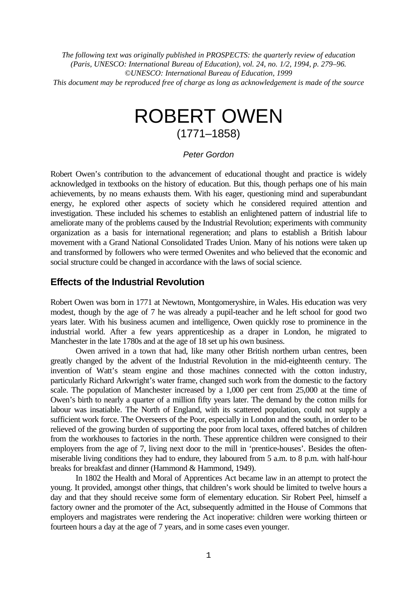*The following text was originally published in PROSPECTS: the quarterly review of education (Paris, UNESCO: International Bureau of Education), vol. 24, no. 1/2, 1994, p. 279–96. ©UNESCO: International Bureau of Education, 1999 This document may be reproduced free of charge as long as acknowledgement is made of the source*

# ROBERT OWEN (1771–1858)

#### *Peter Gordon*

Robert Owen's contribution to the advancement of educational thought and practice is widely acknowledged in textbooks on the history of education. But this, though perhaps one of his main achievements, by no means exhausts them. With his eager, questioning mind and superabundant energy, he explored other aspects of society which he considered required attention and investigation. These included his schemes to establish an enlightened pattern of industrial life to ameliorate many of the problems caused by the Industrial Revolution; experiments with community organization as a basis for international regeneration; and plans to establish a British labour movement with a Grand National Consolidated Trades Union. Many of his notions were taken up and transformed by followers who were termed Owenites and who believed that the economic and social structure could be changed in accordance with the laws of social science.

### **Effects of the Industrial Revolution**

Robert Owen was born in 1771 at Newtown, Montgomeryshire, in Wales. His education was very modest, though by the age of 7 he was already a pupil-teacher and he left school for good two years later. With his business acumen and intelligence, Owen quickly rose to prominence in the industrial world. After a few years apprenticeship as a draper in London, he migrated to Manchester in the late 1780s and at the age of 18 set up his own business.

Owen arrived in a town that had, like many other British northern urban centres, been greatly changed by the advent of the Industrial Revolution in the mid-eighteenth century. The invention of Watt's steam engine and those machines connected with the cotton industry, particularly Richard Arkwright's water frame, changed such work from the domestic to the factory scale. The population of Manchester increased by a 1,000 per cent from 25,000 at the time of Owen's birth to nearly a quarter of a million fifty years later. The demand by the cotton mills for labour was insatiable. The North of England, with its scattered population, could not supply a sufficient work force. The Overseers of the Poor, especially in London and the south, in order to be relieved of the growing burden of supporting the poor from local taxes, offered batches of children from the workhouses to factories in the north. These apprentice children were consigned to their employers from the age of 7, living next door to the mill in 'prentice-houses'. Besides the oftenmiserable living conditions they had to endure, they laboured from 5 a.m. to 8 p.m. with half-hour breaks for breakfast and dinner (Hammond & Hammond, 1949).

In 1802 the Health and Moral of Apprentices Act became law in an attempt to protect the young. It provided, amongst other things, that children's work should be limited to twelve hours a day and that they should receive some form of elementary education. Sir Robert Peel, himself a factory owner and the promoter of the Act, subsequently admitted in the House of Commons that employers and magistrates were rendering the Act inoperative: children were working thirteen or fourteen hours a day at the age of 7 years, and in some cases even younger.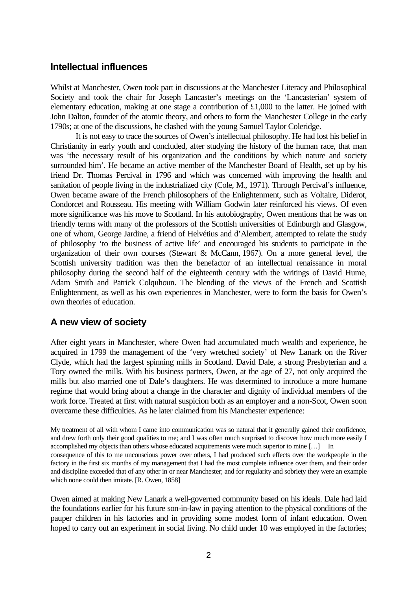## **Intellectual influences**

Whilst at Manchester, Owen took part in discussions at the Manchester Literacy and Philosophical Society and took the chair for Joseph Lancaster's meetings on the 'Lancasterian' system of elementary education, making at one stage a contribution of £1,000 to the latter. He joined with John Dalton, founder of the atomic theory, and others to form the Manchester College in the early 1790s; at one of the discussions, he clashed with the young Samuel Taylor Coleridge.

It is not easy to trace the sources of Owen's intellectual philosophy. He had lost his belief in Christianity in early youth and concluded, after studying the history of the human race, that man was 'the necessary result of his organization and the conditions by which nature and society surrounded him'. He became an active member of the Manchester Board of Health, set up by his friend Dr. Thomas Percival in 1796 and which was concerned with improving the health and sanitation of people living in the industrialized city (Cole, M., 1971). Through Percival's influence, Owen became aware of the French philosophers of the Enlightenment, such as Voltaire, Diderot, Condorcet and Rousseau. His meeting with William Godwin later reinforced his views. Of even more significance was his move to Scotland. In his autobiography, Owen mentions that he was on friendly terms with many of the professors of the Scottish universities of Edinburgh and Glasgow, one of whom, George Jardine, a friend of Helvétius and d'Alembert, attempted to relate the study of philosophy 'to the business of active life' and encouraged his students to participate in the organization of their own courses (Stewart & McCann, 1967). On a more general level, the Scottish university tradition was then the benefactor of an intellectual renaissance in moral philosophy during the second half of the eighteenth century with the writings of David Hume, Adam Smith and Patrick Colquhoun. The blending of the views of the French and Scottish Enlightenment, as well as his own experiences in Manchester, were to form the basis for Owen's own theories of education.

# **A new view of society**

After eight years in Manchester, where Owen had accumulated much wealth and experience, he acquired in 1799 the management of the 'very wretched society' of New Lanark on the River Clyde, which had the largest spinning mills in Scotland. David Dale, a strong Presbyterian and a Tory owned the mills. With his business partners, Owen, at the age of 27, not only acquired the mills but also married one of Dale's daughters. He was determined to introduce a more humane regime that would bring about a change in the character and dignity of individual members of the work force. Treated at first with natural suspicion both as an employer and a non-Scot, Owen soon overcame these difficulties. As he later claimed from his Manchester experience:

My treatment of all with whom I came into communication was so natural that it generally gained their confidence, and drew forth only their good qualities to me; and I was often much surprised to discover how much more easily I accomplished my objects than others whose educated acquirements were much superior to mine […] In consequence of this to me unconscious power over others, I had produced such effects over the workpeople in the factory in the first six months of my management that I had the most complete influence over them, and their order and discipline exceeded that of any other in or near Manchester; and for regularity and sobriety they were an example which none could then imitate. [R. Owen, 1858]

Owen aimed at making New Lanark a well-governed community based on his ideals. Dale had laid the foundations earlier for his future son-in-law in paying attention to the physical conditions of the pauper children in his factories and in providing some modest form of infant education. Owen hoped to carry out an experiment in social living. No child under 10 was employed in the factories;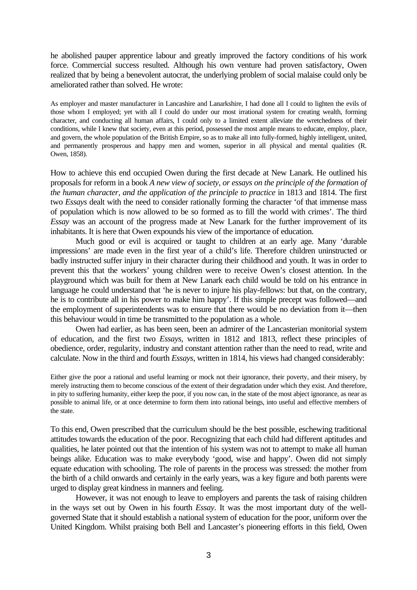he abolished pauper apprentice labour and greatly improved the factory conditions of his work force. Commercial success resulted. Although his own venture had proven satisfactory, Owen realized that by being a benevolent autocrat, the underlying problem of social malaise could only be ameliorated rather than solved. He wrote:

As employer and master manufacturer in Lancashire and Lanarkshire, I had done all I could to lighten the evils of those whom I employed; yet with all I could do under our most irrational system for creating wealth, forming character, and conducting all human affairs, I could only to a limited extent alleviate the wretchedness of their conditions, while I knew that society, even at this period, possessed the most ample means to educate, employ, place, and govern, the whole population of the British Empire, so as to make all into fully-formed, highly intelligent, united, and permanently prosperous and happy men and women, superior in all physical and mental qualities (R. Owen, 1858).

How to achieve this end occupied Owen during the first decade at New Lanark. He outlined his proposals for reform in a book *A new view of society, or essays on the principle of the formation of the human character, and the application of the principle to practice* in 1813 and 1814. The first two *Essays* dealt with the need to consider rationally forming the character 'of that immense mass of population which is now allowed to be so formed as to fill the world with crimes'. The third *Essay* was an account of the progress made at New Lanark for the further improvement of its inhabitants. It is here that Owen expounds his view of the importance of education.

Much good or evil is acquired or taught to children at an early age. Many 'durable impressions' are made even in the first year of a child's life. Therefore children uninstructed or badly instructed suffer injury in their character during their childhood and youth. It was in order to prevent this that the workers' young children were to receive Owen's closest attention. In the playground which was built for them at New Lanark each child would be told on his entrance in language he could understand that 'he is never to injure his play-fellows: but that, on the contrary, he is to contribute all in his power to make him happy'. If this simple precept was followed—and the employment of superintendents was to ensure that there would be no deviation from it—then this behaviour would in time be transmitted to the population as a whole.

Owen had earlier, as has been seen, been an admirer of the Lancasterian monitorial system of education, and the first two *Essays*, written in 1812 and 1813, reflect these principles of obedience, order, regularity, industry and constant attention rather than the need to read, write and calculate. Now in the third and fourth *Essays*, written in 1814, his views had changed considerably:

Either give the poor a rational and useful learning or mock not their ignorance, their poverty, and their misery, by merely instructing them to become conscious of the extent of their degradation under which they exist. And therefore, in pity to suffering humanity, either keep the poor, if you now can, in the state of the most abject ignorance, as near as possible to animal life, or at once determine to form them into rational beings, into useful and effective members of the state.

To this end, Owen prescribed that the curriculum should be the best possible, eschewing traditional attitudes towards the education of the poor. Recognizing that each child had different aptitudes and qualities, he later pointed out that the intention of his system was not to attempt to make all human beings alike. Education was to make everybody 'good, wise and happy'. Owen did not simply equate education with schooling. The role of parents in the process was stressed: the mother from the birth of a child onwards and certainly in the early years, was a key figure and both parents were urged to display great kindness in manners and feeling.

However, it was not enough to leave to employers and parents the task of raising children in the ways set out by Owen in his fourth *Essay*. It was the most important duty of the wellgoverned State that it should establish a national system of education for the poor, uniform over the United Kingdom. Whilst praising both Bell and Lancaster's pioneering efforts in this field, Owen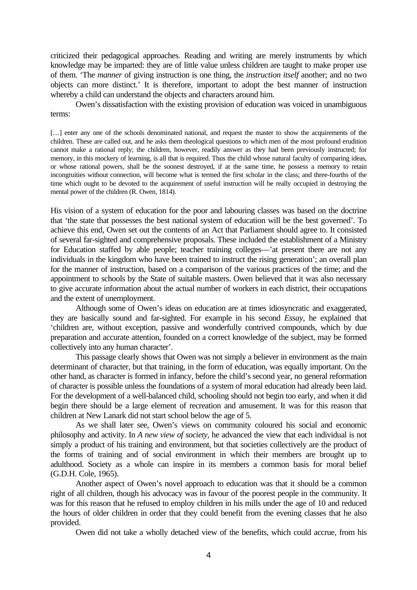criticized their pedagogical approaches. Reading and writing are merely instruments by which knowledge may be imparted: they are of little value unless children are taught to make proper use of them. 'The *manner* of giving instruction is one thing, the *instruction itself* another; and no two objects can more distinct.' It is therefore, important to adopt the best manner of instruction whereby a child can understand the objects and characters around him.

Owen's dissatisfaction with the existing provision of education was voiced in unambiguous terms:

[...] enter any one of the schools denominated national, and request the master to show the acquirements of the children. These are called out, and he asks them theological questions to which men of the most profound erudition cannot make a rational reply; the children, however, readily answer as they had been previously instructed; for memory, in this mockery of learning, is all that is required. Thus the child whose natural faculty of comparing ideas, or whose rational powers, shall be the soonest destroyed, if at the same time, he possess a memory to retain incongruities without connection, will become what is termed the first scholar in the class; and three-fourths of the time which ought to be devoted to the acquirement of useful instruction will be really occupied in destroying the mental power of the children (R. Owen, 1814).

His vision of a system of education for the poor and labouring classes was based on the doctrine that 'the state that possesses the best national system of education will be the best governed'. To achieve this end, Owen set out the contents of an Act that Parliament should agree to. It consisted of several far-sighted and comprehensive proposals. These included the establishment of a Ministry for Education staffed by able people; teacher training colleges—'at present there are not any individuals in the kingdom who have been trained to instruct the rising generation'; an overall plan for the manner of instruction, based on a comparison of the various practices of the time; and the appointment to schools by the State of suitable masters. Owen believed that it was also necessary to give accurate information about the actual number of workers in each district, their occupations and the extent of unemployment.

Although some of Owen's ideas on education are at times idiosyncratic and exaggerated, they are basically sound and far-sighted. For example in his second *Essay*, he explained that 'children are, without exception, passive and wonderfully contrived compounds, which by due preparation and accurate attention, founded on a correct knowledge of the subject, may be formed collectively into any human character'.

This passage clearly shows that Owen was not simply a believer in environment as the main determinant of character, but that training, in the form of education, was equally important. On the other hand, as character is formed in infancy, before the child's second year, no general reformation of character is possible unless the foundations of a system of moral education had already been laid. For the development of a well-balanced child, schooling should not begin too early, and when it did begin there should be a large element of recreation and amusement. It was for this reason that children at New Lanark did not start school below the age of 5.

As we shall later see, Owen's views on community coloured his social and economic philosophy and activity. In *A new view of society*, he advanced the view that each individual is not simply a product of his training and environment, but that societies collectively are the product of the forms of training and of social environment in which their members are brought up to adulthood. Society as a whole can inspire in its members a common basis for moral belief (G.D.H. Cole, 1965).

Another aspect of Owen's novel approach to education was that it should be a common right of all children, though his advocacy was in favour of the poorest people in the community. It was for this reason that he refused to employ children in his mills under the age of 10 and reduced the hours of older children in order that they could benefit from the evening classes that he also provided.

Owen did not take a wholly detached view of the benefits, which could accrue, from his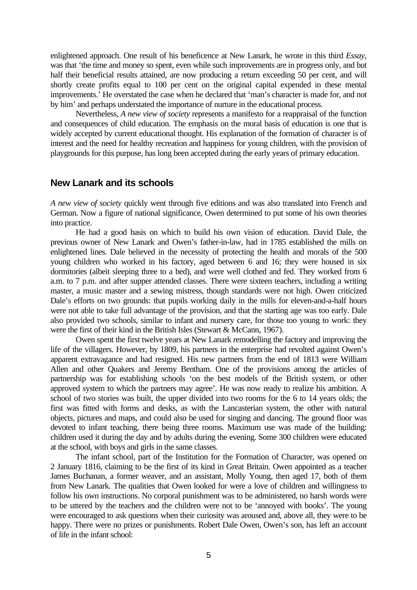enlightened approach. One result of his beneficence at New Lanark, he wrote in this third *Essay*, was that 'the time and money so spent, even while such improvements are in progress only, and but half their beneficial results attained, are now producing a return exceeding 50 per cent, and will shortly create profits equal to 100 per cent on the original capital expended in these mental improvements.' He overstated the case when he declared that 'man's character is made for, and not by him' and perhaps understated the importance of nurture in the educational process.

Nevertheless, *A new view of society* represents a manifesto for a reappraisal of the function and consequences of child education. The emphasis on the moral basis of education is one that is widely accepted by current educational thought. His explanation of the formation of character is of interest and the need for healthy recreation and happiness for young children, with the provision of playgrounds for this purpose, has long been accepted during the early years of primary education.

#### **New Lanark and its schools**

*A new view of society* quickly went through five editions and was also translated into French and German. Now a figure of national significance, Owen determined to put some of his own theories into practice.

He had a good basis on which to build his own vision of education. David Dale, the previous owner of New Lanark and Owen's father-in-law, had in 1785 established the mills on enlightened lines. Dale believed in the necessity of protecting the health and morals of the 500 young children who worked in his factory, aged between 6 and 16; they were housed in six dormitories (albeit sleeping three to a bed), and were well clothed and fed. They worked from 6 a.m. to 7 p.m. and after supper attended classes. There were sixteen teachers, including a writing master, a music master and a sewing mistress, though standards were not high. Owen criticized Dale's efforts on two grounds: that pupils working daily in the mills for eleven-and-a-half hours were not able to take full advantage of the provision, and that the starting age was too early. Dale also provided two schools, similar to infant and nursery care, for those too young to work: they were the first of their kind in the British Isles (Stewart & McCann, 1967).

Owen spent the first twelve years at New Lanark remodelling the factory and improving the life of the villagers. However, by 1809, his partners in the enterprise had revolted against Owen's apparent extravagance and had resigned. His new partners from the end of 1813 were William Allen and other Quakers and Jeremy Bentham. One of the provisions among the articles of partnership was for establishing schools 'on the best models of the British system, or other approved system to which the partners may agree'. He was now ready to realize his ambition. A school of two stories was built, the upper divided into two rooms for the 6 to 14 years olds; the first was fitted with forms and desks, as with the Lancasterian system, the other with natural objects, pictures and maps, and could also be used for singing and dancing. The ground floor was devoted to infant teaching, there being three rooms. Maximum use was made of the building: children used it during the day and by adults during the evening. Some 300 children were educated at the school, with boys and girls in the same classes.

The infant school, part of the Institution for the Formation of Character, was opened on 2 January 1816, claiming to be the first of its kind in Great Britain. Owen appointed as a teacher James Buchanan, a former weaver, and an assistant, Molly Young, then aged 17, both of them from New Lanark. The qualities that Owen looked for were a love of children and willingness to follow his own instructions. No corporal punishment was to be administered, no harsh words were to be uttered by the teachers and the children were not to be 'annoyed with books'. The young were encouraged to ask questions when their curiosity was aroused and, above all, they were to be happy. There were no prizes or punishments. Robert Dale Owen, Owen's son, has left an account of life in the infant school: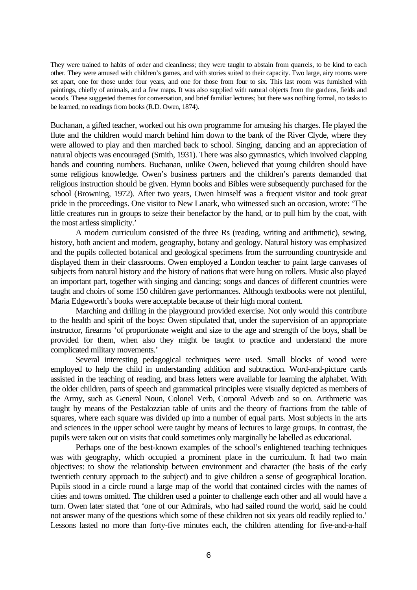They were trained to habits of order and cleanliness; they were taught to abstain from quarrels, to be kind to each other. They were amused with children's games, and with stories suited to their capacity. Two large, airy rooms were set apart, one for those under four years, and one for those from four to six. This last room was furnished with paintings, chiefly of animals, and a few maps. It was also supplied with natural objects from the gardens, fields and woods. These suggested themes for conversation, and brief familiar lectures; but there was nothing formal, no tasks to be learned, no readings from books (R.D. Owen, 1874).

Buchanan, a gifted teacher, worked out his own programme for amusing his charges. He played the flute and the children would march behind him down to the bank of the River Clyde, where they were allowed to play and then marched back to school. Singing, dancing and an appreciation of natural objects was encouraged (Smith, 1931). There was also gymnastics, which involved clapping hands and counting numbers. Buchanan, unlike Owen, believed that young children should have some religious knowledge. Owen's business partners and the children's parents demanded that religious instruction should be given. Hymn books and Bibles were subsequently purchased for the school (Browning, 1972). After two years, Owen himself was a frequent visitor and took great pride in the proceedings. One visitor to New Lanark, who witnessed such an occasion, wrote: 'The little creatures run in groups to seize their benefactor by the hand, or to pull him by the coat, with the most artless simplicity.'

A modern curriculum consisted of the three Rs (reading, writing and arithmetic), sewing, history, both ancient and modern, geography, botany and geology. Natural history was emphasized and the pupils collected botanical and geological specimens from the surrounding countryside and displayed them in their classrooms. Owen employed a London teacher to paint large canvases of subjects from natural history and the history of nations that were hung on rollers. Music also played an important part, together with singing and dancing; songs and dances of different countries were taught and choirs of some 150 children gave performances. Although textbooks were not plentiful, Maria Edgeworth's books were acceptable because of their high moral content.

Marching and drilling in the playground provided exercise. Not only would this contribute to the health and spirit of the boys: Owen stipulated that, under the supervision of an appropriate instructor, firearms 'of proportionate weight and size to the age and strength of the boys, shall be provided for them, when also they might be taught to practice and understand the more complicated military movements.'

Several interesting pedagogical techniques were used. Small blocks of wood were employed to help the child in understanding addition and subtraction. Word-and-picture cards assisted in the teaching of reading, and brass letters were available for learning the alphabet. With the older children, parts of speech and grammatical principles were visually depicted as members of the Army, such as General Noun, Colonel Verb, Corporal Adverb and so on. Arithmetic was taught by means of the Pestalozzian table of units and the theory of fractions from the table of squares, where each square was divided up into a number of equal parts. Most subjects in the arts and sciences in the upper school were taught by means of lectures to large groups. In contrast, the pupils were taken out on visits that could sometimes only marginally be labelled as educational.

Perhaps one of the best-known examples of the school's enlightened teaching techniques was with geography, which occupied a prominent place in the curriculum. It had two main objectives: to show the relationship between environment and character (the basis of the early twentieth century approach to the subject) and to give children a sense of geographical location. Pupils stood in a circle round a large map of the world that contained circles with the names of cities and towns omitted. The children used a pointer to challenge each other and all would have a turn. Owen later stated that 'one of our Admirals, who had sailed round the world, said he could not answer many of the questions which some of these children not six years old readily replied to.' Lessons lasted no more than forty-five minutes each, the children attending for five-and-a-half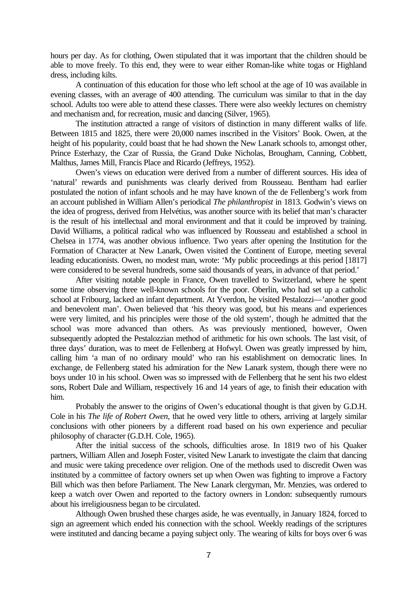hours per day. As for clothing, Owen stipulated that it was important that the children should be able to move freely. To this end, they were to wear either Roman-like white togas or Highland dress, including kilts.

A continuation of this education for those who left school at the age of 10 was available in evening classes, with an average of 400 attending. The curriculum was similar to that in the day school. Adults too were able to attend these classes. There were also weekly lectures on chemistry and mechanism and, for recreation, music and dancing (Silver, 1965).

The institution attracted a range of visitors of distinction in many different walks of life. Between 1815 and 1825, there were 20,000 names inscribed in the Visitors' Book. Owen, at the height of his popularity, could boast that he had shown the New Lanark schools to, amongst other, Prince Esterhazy, the Czar of Russia, the Grand Duke Nicholas, Brougham, Canning, Cobbett, Malthus, James Mill, Francis Place and Ricardo (Jeffreys, 1952).

Owen's views on education were derived from a number of different sources. His idea of 'natural' rewards and punishments was clearly derived from Rousseau. Bentham had earlier postulated the notion of infant schools and he may have known of the de Fellenberg's work from an account published in William Allen's periodical *The philanthropist* in 1813. Godwin's views on the idea of progress, derived from Helvétius, was another source with its belief that man's character is the result of his intellectual and moral environment and that it could be improved by training. David Williams, a political radical who was influenced by Rousseau and established a school in Chelsea in 1774, was another obvious influence. Two years after opening the Institution for the Formation of Character at New Lanark, Owen visited the Continent of Europe, meeting several leading educationists. Owen, no modest man, wrote: 'My public proceedings at this period [1817] were considered to be several hundreds, some said thousands of years, in advance of that period.'

After visiting notable people in France, Owen travelled to Switzerland, where he spent some time observing three well-known schools for the poor. Oberlin, who had set up a catholic school at Fribourg, lacked an infant department. At Yverdon, he visited Pestalozzi—'another good and benevolent man'. Owen believed that 'his theory was good, but his means and experiences were very limited, and his principles were those of the old system', though he admitted that the school was more advanced than others. As was previously mentioned, however, Owen subsequently adopted the Pestalozzian method of arithmetic for his own schools. The last visit, of three days' duration, was to meet de Fellenberg at Hofwyl. Owen was greatly impressed by him, calling him 'a man of no ordinary mould' who ran his establishment on democratic lines. In exchange, de Fellenberg stated his admiration for the New Lanark system, though there were no boys under 10 in his school. Owen was so impressed with de Fellenberg that he sent his two eldest sons, Robert Dale and William, respectively 16 and 14 years of age, to finish their education with him.

Probably the answer to the origins of Owen's educational thought is that given by G.D.H. Cole in his *The life of Robert Owen*, that he owed very little to others, arriving at largely similar conclusions with other pioneers by a different road based on his own experience and peculiar philosophy of character (G.D.H. Cole, 1965).

After the initial success of the schools, difficulties arose. In 1819 two of his Quaker partners, William Allen and Joseph Foster, visited New Lanark to investigate the claim that dancing and music were taking precedence over religion. One of the methods used to discredit Owen was instituted by a committee of factory owners set up when Owen was fighting to improve a Factory Bill which was then before Parliament. The New Lanark clergyman, Mr. Menzies, was ordered to keep a watch over Owen and reported to the factory owners in London: subsequently rumours about his irreligiousness began to be circulated.

Although Owen brushed these charges aside, he was eventually, in January 1824, forced to sign an agreement which ended his connection with the school. Weekly readings of the scriptures were instituted and dancing became a paying subject only. The wearing of kilts for boys over 6 was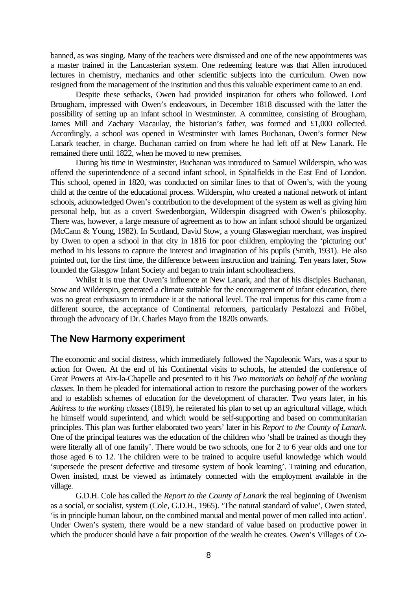banned, as was singing. Many of the teachers were dismissed and one of the new appointments was a master trained in the Lancasterian system. One redeeming feature was that Allen introduced lectures in chemistry, mechanics and other scientific subjects into the curriculum. Owen now resigned from the management of the institution and thus this valuable experiment came to an end.

Despite these setbacks, Owen had provided inspiration for others who followed. Lord Brougham, impressed with Owen's endeavours, in December 1818 discussed with the latter the possibility of setting up an infant school in Westminster. A committee, consisting of Brougham, James Mill and Zachary Macaulay, the historian's father, was formed and £1,000 collected. Accordingly, a school was opened in Westminster with James Buchanan, Owen's former New Lanark teacher, in charge. Buchanan carried on from where he had left off at New Lanark. He remained there until 1822, when he moved to new premises.

During his time in Westminster, Buchanan was introduced to Samuel Wilderspin, who was offered the superintendence of a second infant school, in Spitalfields in the East End of London. This school, opened in 1820, was conducted on similar lines to that of Owen's, with the young child at the centre of the educational process. Wilderspin, who created a national network of infant schools, acknowledged Owen's contribution to the development of the system as well as giving him personal help, but as a covert Swedenborgian, Wilderspin disagreed with Owen's philosophy. There was, however, a large measure of agreement as to how an infant school should be organized (McCann & Young, 1982). In Scotland, David Stow, a young Glaswegian merchant, was inspired by Owen to open a school in that city in 1816 for poor children, employing the 'picturing out' method in his lessons to capture the interest and imagination of his pupils (Smith, 1931). He also pointed out, for the first time, the difference between instruction and training. Ten years later, Stow founded the Glasgow Infant Society and began to train infant schoolteachers.

Whilst it is true that Owen's influence at New Lanark, and that of his disciples Buchanan, Stow and Wilderspin, generated a climate suitable for the encouragement of infant education, there was no great enthusiasm to introduce it at the national level. The real impetus for this came from a different source, the acceptance of Continental reformers, particularly Pestalozzi and Fröbel, through the advocacy of Dr. Charles Mayo from the 1820s onwards.

#### **The New Harmony experiment**

The economic and social distress, which immediately followed the Napoleonic Wars, was a spur to action for Owen. At the end of his Continental visits to schools, he attended the conference of Great Powers at Aix-la-Chapelle and presented to it his *Two memorials on behalf of the working classes*. In them he pleaded for international action to restore the purchasing power of the workers and to establish schemes of education for the development of character. Two years later, in his *Address to the working classes* (1819), he reiterated his plan to set up an agricultural village, which he himself would superintend, and which would be self-supporting and based on communitarian principles. This plan was further elaborated two years' later in his *Report to the County of Lanark*. One of the principal features was the education of the children who 'shall be trained as though they were literally all of one family'. There would be two schools, one for 2 to 6 year olds and one for those aged 6 to 12. The children were to be trained to acquire useful knowledge which would 'supersede the present defective and tiresome system of book learning'. Training and education, Owen insisted, must be viewed as intimately connected with the employment available in the village.

G.D.H. Cole has called the *Report to the County of Lanark* the real beginning of Owenism as a social, or socialist, system (Cole, G.D.H., 1965). 'The natural standard of value', Owen stated, 'is in principle human labour, on the combined manual and mental power of men called into action'. Under Owen's system, there would be a new standard of value based on productive power in which the producer should have a fair proportion of the wealth he creates. Owen's Villages of Co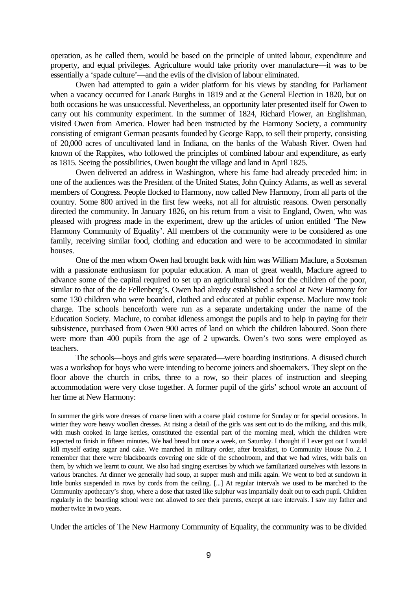operation, as he called them, would be based on the principle of united labour, expenditure and property, and equal privileges. Agriculture would take priority over manufacture—it was to be essentially a 'spade culture'—and the evils of the division of labour eliminated.

Owen had attempted to gain a wider platform for his views by standing for Parliament when a vacancy occurred for Lanark Burghs in 1819 and at the General Election in 1820, but on both occasions he was unsuccessful. Nevertheless, an opportunity later presented itself for Owen to carry out his community experiment. In the summer of 1824, Richard Flower, an Englishman, visited Owen from America. Flower had been instructed by the Harmony Society, a community consisting of emigrant German peasants founded by George Rapp, to sell their property, consisting of 20,000 acres of uncultivated land in Indiana, on the banks of the Wabash River. Owen had known of the Rappites, who followed the principles of combined labour and expenditure, as early as 1815. Seeing the possibilities, Owen bought the village and land in April 1825.

Owen delivered an address in Washington, where his fame had already preceded him: in one of the audiences was the President of the United States, John Quincy Adams, as well as several members of Congress. People flocked to Harmony, now called New Harmony, from all parts of the country. Some 800 arrived in the first few weeks, not all for altruistic reasons. Owen personally directed the community. In January 1826, on his return from a visit to England, Owen, who was pleased with progress made in the experiment, drew up the articles of union entitled 'The New Harmony Community of Equality'. All members of the community were to be considered as one family, receiving similar food, clothing and education and were to be accommodated in similar houses.

One of the men whom Owen had brought back with him was William Maclure, a Scotsman with a passionate enthusiasm for popular education. A man of great wealth, Maclure agreed to advance some of the capital required to set up an agricultural school for the children of the poor, similar to that of the de Fellenberg's. Owen had already established a school at New Harmony for some 130 children who were boarded, clothed and educated at public expense. Maclure now took charge. The schools henceforth were run as a separate undertaking under the name of the Education Society. Maclure, to combat idleness amongst the pupils and to help in paying for their subsistence, purchased from Owen 900 acres of land on which the children laboured. Soon there were more than 400 pupils from the age of 2 upwards. Owen's two sons were employed as teachers.

The schools—boys and girls were separated—were boarding institutions. A disused church was a workshop for boys who were intending to become joiners and shoemakers. They slept on the floor above the church in cribs, three to a row, so their places of instruction and sleeping accommodation were very close together. A former pupil of the girls' school wrote an account of her time at New Harmony:

In summer the girls wore dresses of coarse linen with a coarse plaid costume for Sunday or for special occasions. In winter they wore heavy woollen dresses. At rising a detail of the girls was sent out to do the milking, and this milk, with mush cooked in large kettles, constituted the essential part of the morning meal, which the children were expected to finish in fifteen minutes. We had bread but once a week, on Saturday. I thought if I ever got out I would kill myself eating sugar and cake. We marched in military order, after breakfast, to Community House No. 2. I remember that there were blackboards covering one side of the schoolroom, and that we had wires, with balls on them, by which we learnt to count. We also had singing exercises by which we familiarized ourselves with lessons in various branches. At dinner we generally had soup, at supper mush and milk again. We went to bed at sundown in little bunks suspended in rows by cords from the ceiling. [...] At regular intervals we used to be marched to the Community apothecary's shop, where a dose that tasted like sulphur was impartially dealt out to each pupil. Children regularly in the boarding school were not allowed to see their parents, except at rare intervals. I saw my father and mother twice in two years.

Under the articles of The New Harmony Community of Equality, the community was to be divided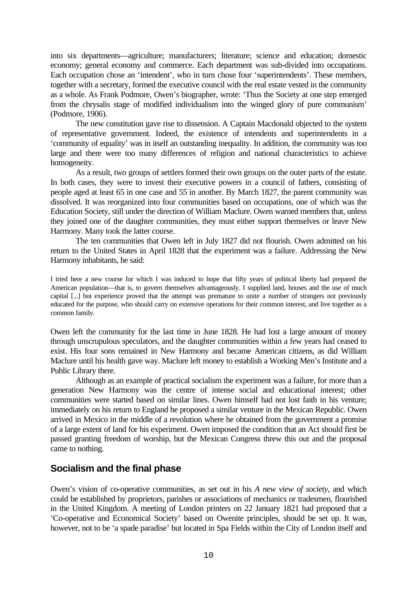into six departments—agriculture; manufacturers; literature; science and education; domestic economy; general economy and commerce. Each department was sub-divided into occupations. Each occupation chose an 'intendent', who in turn chose four 'superintendents'. These members, together with a secretary, formed the executive council with the real estate vested in the community as a whole. As Frank Podmore, Owen's biographer, wrote: 'Thus the Society at one step emerged from the chrysalis stage of modified individualism into the winged glory of pure communism' (Podmore, 1906).

The new constitution gave rise to dissension. A Captain Macdonald objected to the system of representative government. Indeed, the existence of intendents and superintendents in a 'community of equality' was in itself an outstanding inequality. In addition, the community was too large and there were too many differences of religion and national characteristics to achieve homogeneity.

As a result, two groups of settlers formed their own groups on the outer parts of the estate. In both cases, they were to invest their executive powers in a council of fathers, consisting of people aged at least 65 in one case and 55 in another. By March 1827, the parent community was dissolved. It was reorganized into four communities based on occupations, one of which was the Education Society, still under the direction of William Maclure. Owen warned members that, unless they joined one of the daughter communities, they must either support themselves or leave New Harmony. Many took the latter course.

The ten communities that Owen left in July 1827 did not flourish. Owen admitted on his return to the United States in April 1828 that the experiment was a failure. Addressing the New Harmony inhabitants, he said:

I tried here a new course for which I was induced to hope that fifty years of political liberty had prepared the American population—that is, to govern themselves advantageously. I supplied land, houses and the use of much capital [...] but experience proved that the attempt was premature to unite a number of strangers not previously educated for the purpose, who should carry on extensive operations for their common interest, and live together as a common family.

Owen left the community for the last time in June 1828. He had lost a large amount of money through unscrupulous speculators, and the daughter communities within a few years had ceased to exist. His four sons remained in New Harmony and became American citizens, as did William Maclure until his health gave way. Maclure left money to establish a Working Men's Institute and a Public Library there.

Although as an example of practical socialism the experiment was a failure, for more than a generation New Harmony was the centre of intense social and educational interest; other communities were started based on similar lines. Owen himself had not lost faith in his venture; immediately on his return to England he proposed a similar venture in the Mexican Republic. Owen arrived in Mexico in the middle of a revolution where he obtained from the government a promise of a large extent of land for his experiment. Owen imposed the condition that an Act should first be passed granting freedom of worship, but the Mexican Congress threw this out and the proposal came to nothing.

# **Socialism and the final phase**

Owen's vision of co-operative communities, as set out in his *A new view of society*, and which could be established by proprietors, parishes or associations of mechanics or tradesmen, flourished in the United Kingdom. A meeting of London printers on 22 January 1821 had proposed that a 'Co-operative and Economical Society' based on Owenite principles, should be set up. It was, however, not to be 'a spade paradise' but located in Spa Fields within the City of London itself and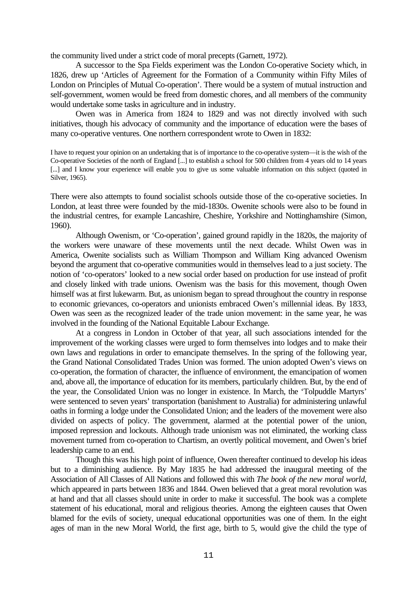the community lived under a strict code of moral precepts (Garnett, 1972).

A successor to the Spa Fields experiment was the London Co-operative Society which, in 1826, drew up 'Articles of Agreement for the Formation of a Community within Fifty Miles of London on Principles of Mutual Co-operation'. There would be a system of mutual instruction and self-government, women would be freed from domestic chores, and all members of the community would undertake some tasks in agriculture and in industry.

Owen was in America from 1824 to 1829 and was not directly involved with such initiatives, though his advocacy of community and the importance of education were the bases of many co-operative ventures. One northern correspondent wrote to Owen in 1832:

I have to request your opinion on an undertaking that is of importance to the co-operative system—it is the wish of the Co-operative Societies of the north of England [...] to establish a school for 500 children from 4 years old to 14 years [...] and I know your experience will enable you to give us some valuable information on this subject (quoted in Silver, 1965).

There were also attempts to found socialist schools outside those of the co-operative societies. In London, at least three were founded by the mid-1830s. Owenite schools were also to be found in the industrial centres, for example Lancashire, Cheshire, Yorkshire and Nottinghamshire (Simon, 1960).

Although Owenism, or 'Co-operation', gained ground rapidly in the 1820s, the majority of the workers were unaware of these movements until the next decade. Whilst Owen was in America, Owenite socialists such as William Thompson and William King advanced Owenism beyond the argument that co-operative communities would in themselves lead to a just society. The notion of 'co-operators' looked to a new social order based on production for use instead of profit and closely linked with trade unions. Owenism was the basis for this movement, though Owen himself was at first lukewarm. But, as unionism began to spread throughout the country in response to economic grievances, co-operators and unionists embraced Owen's millennial ideas. By 1833, Owen was seen as the recognized leader of the trade union movement: in the same year, he was involved in the founding of the National Equitable Labour Exchange.

At a congress in London in October of that year, all such associations intended for the improvement of the working classes were urged to form themselves into lodges and to make their own laws and regulations in order to emancipate themselves. In the spring of the following year, the Grand National Consolidated Trades Union was formed. The union adopted Owen's views on co-operation, the formation of character, the influence of environment, the emancipation of women and, above all, the importance of education for its members, particularly children. But, by the end of the year, the Consolidated Union was no longer in existence. In March, the 'Tolpuddle Martyrs' were sentenced to seven years' transportation (banishment to Australia) for administering unlawful oaths in forming a lodge under the Consolidated Union; and the leaders of the movement were also divided on aspects of policy. The government, alarmed at the potential power of the union, imposed repression and lockouts. Although trade unionism was not eliminated, the working class movement turned from co-operation to Chartism, an overtly political movement, and Owen's brief leadership came to an end.

Though this was his high point of influence, Owen thereafter continued to develop his ideas but to a diminishing audience. By May 1835 he had addressed the inaugural meeting of the Association of All Classes of All Nations and followed this with *The book of the new moral world*, which appeared in parts between 1836 and 1844. Owen believed that a great moral revolution was at hand and that all classes should unite in order to make it successful. The book was a complete statement of his educational, moral and religious theories. Among the eighteen causes that Owen blamed for the evils of society, unequal educational opportunities was one of them. In the eight ages of man in the new Moral World, the first age, birth to 5, would give the child the type of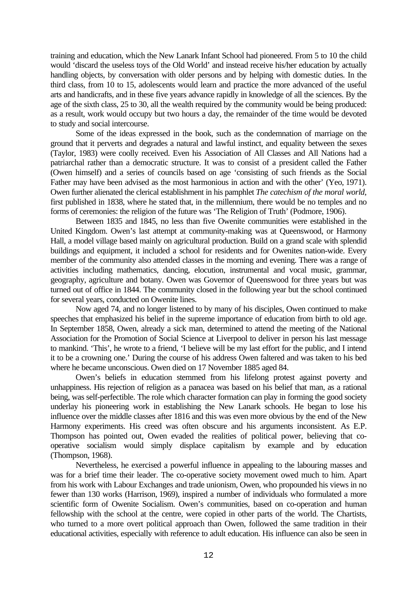training and education, which the New Lanark Infant School had pioneered. From 5 to 10 the child would 'discard the useless toys of the Old World' and instead receive his/her education by actually handling objects, by conversation with older persons and by helping with domestic duties. In the third class, from 10 to 15, adolescents would learn and practice the more advanced of the useful arts and handicrafts, and in these five years advance rapidly in knowledge of all the sciences. By the age of the sixth class, 25 to 30, all the wealth required by the community would be being produced: as a result, work would occupy but two hours a day, the remainder of the time would be devoted to study and social intercourse.

Some of the ideas expressed in the book, such as the condemnation of marriage on the ground that it perverts and degrades a natural and lawful instinct, and equality between the sexes (Taylor, 1983) were coolly received. Even his Association of All Classes and All Nations had a patriarchal rather than a democratic structure. It was to consist of a president called the Father (Owen himself) and a series of councils based on age 'consisting of such friends as the Social Father may have been advised as the most harmonious in action and with the other' (Yeo, 1971). Owen further alienated the clerical establishment in his pamphlet *The catechism of the moral world*, first published in 1838, where he stated that, in the millennium, there would be no temples and no forms of ceremonies: the religion of the future was 'The Religion of Truth' (Podmore, 1906).

Between 1835 and 1845, no less than five Owenite communities were established in the United Kingdom. Owen's last attempt at community-making was at Queenswood, or Harmony Hall, a model village based mainly on agricultural production. Build on a grand scale with splendid buildings and equipment, it included a school for residents and for Owenites nation-wide. Every member of the community also attended classes in the morning and evening. There was a range of activities including mathematics, dancing, elocution, instrumental and vocal music, grammar, geography, agriculture and botany. Owen was Governor of Queenswood for three years but was turned out of office in 1844. The community closed in the following year but the school continued for several years, conducted on Owenite lines.

Now aged 74, and no longer listened to by many of his disciples, Owen continued to make speeches that emphasized his belief in the supreme importance of education from birth to old age. In September 1858, Owen, already a sick man, determined to attend the meeting of the National Association for the Promotion of Social Science at Liverpool to deliver in person his last message to mankind. 'This', he wrote to a friend, 'I believe will be my last effort for the public, and I intend it to be a crowning one.' During the course of his address Owen faltered and was taken to his bed where he became unconscious. Owen died on 17 November 1885 aged 84.

Owen's beliefs in education stemmed from his lifelong protest against poverty and unhappiness. His rejection of religion as a panacea was based on his belief that man, as a rational being, was self-perfectible. The role which character formation can play in forming the good society underlay his pioneering work in establishing the New Lanark schools. He began to lose his influence over the middle classes after 1816 and this was even more obvious by the end of the New Harmony experiments. His creed was often obscure and his arguments inconsistent. As E.P. Thompson has pointed out, Owen evaded the realities of political power, believing that cooperative socialism would simply displace capitalism by example and by education (Thompson, 1968).

Nevertheless, he exercised a powerful influence in appealing to the labouring masses and was for a brief time their leader. The co-operative society movement owed much to him. Apart from his work with Labour Exchanges and trade unionism, Owen, who propounded his views in no fewer than 130 works (Harrison, 1969), inspired a number of individuals who formulated a more scientific form of Owenite Socialism. Owen's communities, based on co-operation and human fellowship with the school at the centre, were copied in other parts of the world. The Chartists, who turned to a more overt political approach than Owen, followed the same tradition in their educational activities, especially with reference to adult education. His influence can also be seen in